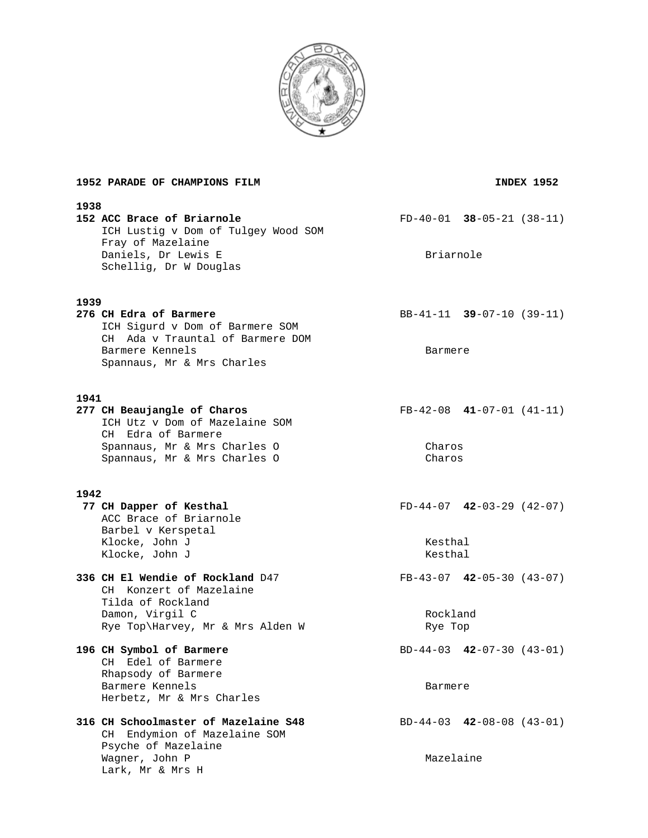

| 1952 PARADE OF CHAMPIONS FILM                                                                                                                               | INDEX 1952                                         |  |  |
|-------------------------------------------------------------------------------------------------------------------------------------------------------------|----------------------------------------------------|--|--|
| 1938<br>152 ACC Brace of Briarnole<br>ICH Lustig v Dom of Tulgey Wood SOM<br>Fray of Mazelaine<br>Daniels, Dr Lewis E<br>Schellig, Dr W Douglas             | $FD-40-01$ 38-05-21 (38-11)<br>Briarnole           |  |  |
| 1939<br>276 CH Edra of Barmere<br>ICH Sigurd v Dom of Barmere SOM<br>CH Ada v Trauntal of Barmere DOM<br>Barmere Kennels<br>Spannaus, Mr & Mrs Charles      | BB-41-11 $39-07-10$ (39-11)<br>Barmere             |  |  |
| 1941<br>277 CH Beaujangle of Charos<br>ICH Utz v Dom of Mazelaine SOM<br>CH Edra of Barmere<br>Spannaus, Mr & Mrs Charles O<br>Spannaus, Mr & Mrs Charles O | $FB-42-08$ 41-07-01 (41-11)<br>Charos<br>Charos    |  |  |
| 1942<br>77 CH Dapper of Kesthal<br>ACC Brace of Briarnole<br>Barbel v Kerspetal<br>Klocke, John J<br>Klocke, John J                                         | $FD-44-07$ 42-03-29 (42-07)<br>Kesthal<br>Kesthal  |  |  |
| 336 CH El Wendie of Rockland D47<br>CH Konzert of Mazelaine<br>Tilda of Rockland<br>Damon, Virgil C<br>Rye Top\Harvey, Mr & Mrs Alden W                     | $FB-43-07$ 42-05-30 (43-07)<br>Rockland<br>Rye Top |  |  |
| 196 CH Symbol of Barmere<br>CH Edel of Barmere<br>Rhapsody of Barmere<br>Barmere Kennels<br>Herbetz, Mr & Mrs Charles                                       | $BD-44-03$ 42-07-30 (43-01)<br>Barmere             |  |  |
| 316 CH Schoolmaster of Mazelaine S48<br>CH Endymion of Mazelaine SOM<br>Psyche of Mazelaine<br>Wagner, John P<br>Lark, Mr & Mrs H                           | $BD-44-03$ $42-08-08$ $(43-01)$<br>Mazelaine       |  |  |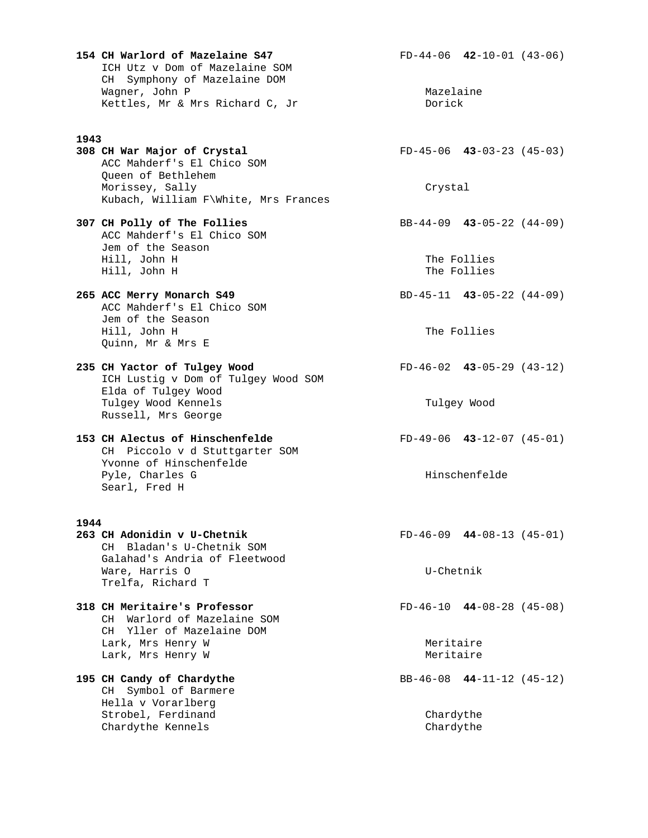**154 CH Warlord of Mazelaine S47** FD-44-06 **42**-10-01 (43-06) ICH Utz v Dom of Mazelaine SOM CH Symphony of Mazelaine DOM Wagner, John P Mazelaine Kettles, Mr & Mrs Richard C, Jr

#### **1943**

**308 CH War Major of Crystal** FD-45-06 **43**-03-23 (45-03) ACC Mahderf's El Chico SOM Queen of Bethlehem Morissey, Sally Crystal Kubach, William F\White, Mrs Frances

 ACC Mahderf's El Chico SOM Jem of the Season Hill, John H The Follies Hill, John H The Follies

**265 ACC Merry Monarch S49** BD-45-11 **43**-05-22 (44-09) ACC Mahderf's El Chico SOM Jem of the Season Hill, John H The Follies Quinn, Mr & Mrs E

**235 CH Yactor of Tulgey Wood** FD-46-02 **43**-05-29 (43-12) ICH Lustig v Dom of Tulgey Wood SOM Elda of Tulgey Wood Tulgey Wood Kennels Tulgey Wood Russell, Mrs George

**153 CH Alectus of Hinschenfelde** FD-49-06 **43**-12-07 (45-01) CH Piccolo v d Stuttgarter SOM Yvonne of Hinschenfelde Pyle, Charles G  $\qquad \qquad$  Hinschenfelde Searl, Fred H

1944<br>263 CH Adonidin v U-Chetnik CH Bladan's U-Chetnik SOM Galahad's Andria of Fleetwood Ware, Harris O **Ware, Harris O** Trelfa, Richard T

# **318 CH Meritaire's Professor** FD-46-10 **44**-08-28 (45-08) CH Warlord of Mazelaine SOM CH Yller of Mazelaine DOM Lark, Mrs Henry W Meritaire Lark, Mrs Henry W 1988 and Meritaire

 CH Symbol of Barmere Hella v Vorarlberg Strobel, Ferdinand Chardythe Chardythe Kennels

**307 CH Polly of The Follies** BB-44-09 **43**-05-22 (44-09)

**263 CH Adonidin v U-Chetnik** FD-46-09 **44**-08-13 (45-01)

**195 CH Candy of Chardythe** BB-46-08 **44**-11-12 (45-12)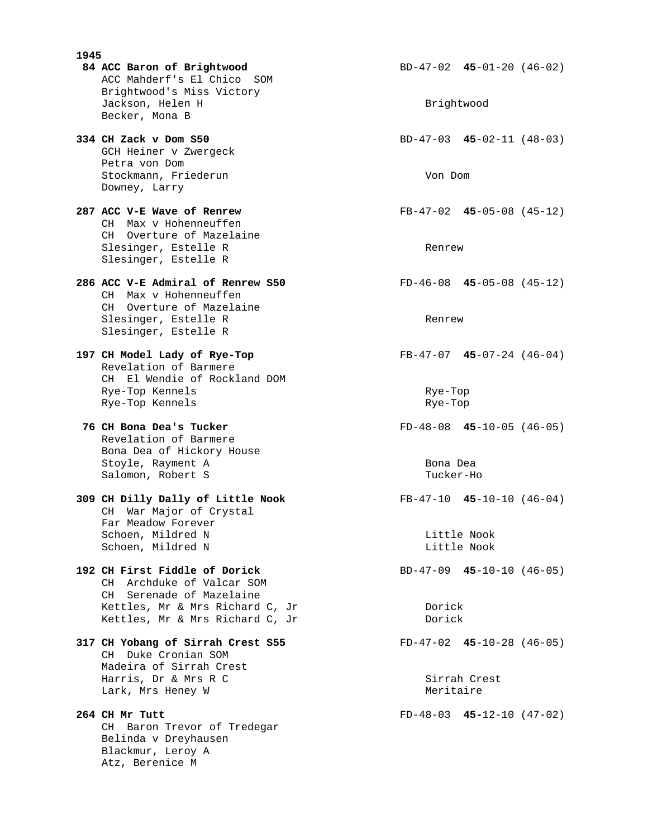- **1945 84 ACC Baron of Brightwood** BD-47-02 **45**-01-20 (46-02) ACC Mahderf's El Chico SOM Brightwood's Miss Victory Jackson, Helen H Brightwood Brightwood Becker, Mona B
- GCH Heiner v Zwergeck Petra von Dom Stockmann, Friederun Von Dom Downey, Larry
- CH Max v Hohenneuffen CH Overture of Mazelaine Slesinger, Estelle R Renrew Slesinger, Estelle R
- **286 ACC V-E Admiral of Renrew S50** FD-46-08 **45**-05-08 (45-12) CH Max v Hohenneuffen CH Overture of Mazelaine Slesinger, Estelle R Renrew Slesinger, Estelle R
- **197 CH Model Lady of Rye-Top** FB-47-07 **45**-07-24 (46-04) Revelation of Barmere CH El Wendie of Rockland DOM Rye-Top Kennels and Rye-Top Rye-Top Rye-Top Rye-Top Rye-Top Rye-Top Rye-Top Rye-Top Rye-Top Rye-Top Rye-Top Kennels and Rye-Top Rye-Top Rye-Top Rye-Top Rye-Top Rye-Top Rye-Top Rye-Top Rye-Top Rye-Top Rye-Top Rye-Top
- **76 CH Bona Dea's Tucker** FD-48-08 **45**-10-05 (46-05) Revelation of Barmere Bona Dea of Hickory House Stoyle, Rayment A Bona Dea Salomon, Robert S Tucker-Ho
- **309 CH Dilly Dally of Little Nook** FB-47-10 **45**-10-10 (46-04) CH War Major of Crystal Far Meadow Forever Schoen, Mildred N Little Nook Schoen, Mildred N Little Nook
- **192 CH First Fiddle of Dorick** BD-47-09 **45**-10-10 (46-05) CH Archduke of Valcar SOM CH Serenade of Mazelaine Kettles, Mr & Mrs Richard C, Jr Dorick Kettles, Mr & Mrs Richard C, Jr Dorick
- **317 CH Yobang of Sirrah Crest S55** FD-47-02 **45**-10-28 (46-05) CH Duke Cronian SOM Madeira of Sirrah Crest Harris, Dr & Mrs R C Sirrah Crest Lark, Mrs Heney W **Meritaire**
- **264 CH Mr Tutt** FD-48-03 **45-**12-10 (47-02) CH Baron Trevor of Tredegar Belinda v Dreyhausen Blackmur, Leroy A Atz, Berenice M

**334 CH Zack v Dom S50** BD-47-03 **45**-02-11 (48-03)

**287 ACC V-E Wave of Renrew** FB-47-02 **45**-05-08 (45-12)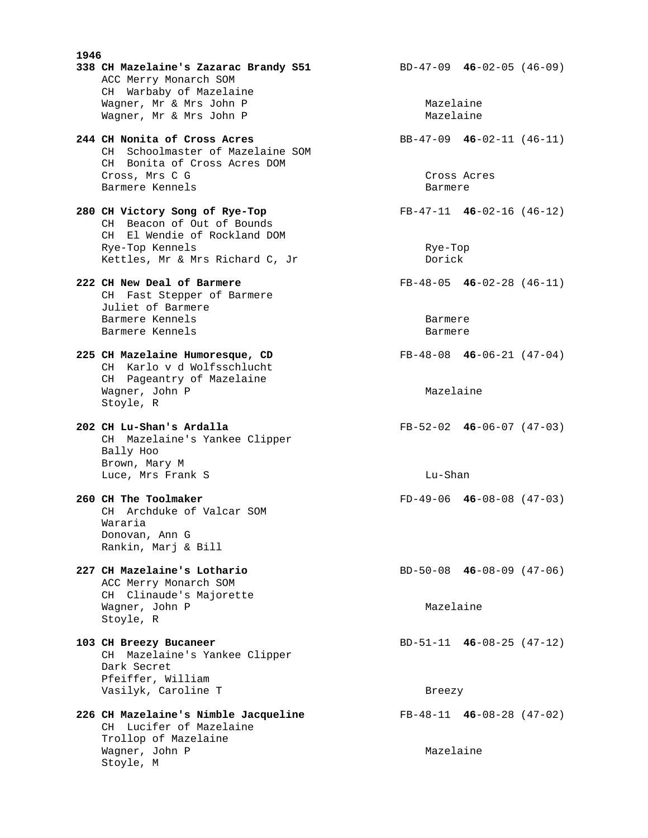**1946 338 CH Mazelaine's Zazarac Brandy S51** BD-47-09 **46**-02-05 (46-09) ACC Merry Monarch SOM CH Warbaby of Mazelaine Wagner, Mr & Mrs John P<br>Wagner, Mr & Mrs John P Mazelaine Wagner, Mr & Mrs John P **244 CH Nonita of Cross Acres** BB-47-09 **46**-02-11 (46-11) CH Schoolmaster of Mazelaine SOM CH Bonita of Cross Acres DOM Cross, Mrs C G Cross Acres Cross Acres Cross Acres Cross Acres Cross Acres Cross Acres Cross Acres Cross Acres Barmere Kennels Barmere **280 CH Victory Song of Rye-Top** FB-47-11 **46**-02-16 (46-12) CH Beacon of Out of Bounds CH El Wendie of Rockland DOM Rye-Top Kennels and Rye-Top Rennels and Rye-Top Rye-Top Rye-Top Kettles, Mr & Mrs Richard C, Jr Dorick **222 CH New Deal of Barmere** FB-48-05 **46**-02-28 (46-11) CH Fast Stepper of Barmere Juliet of Barmere Barmere Kennels Barmere Barmere Kennels barmere **225 CH Mazelaine Humoresque, CD** FB-48-08 **46**-06-21 (47-04) CH Karlo v d Wolfsschlucht CH Pageantry of Mazelaine Wagner, John P Mazelaine Stoyle, R **202 CH Lu-Shan's Ardalla** FB-52-02 **46**-06-07 (47-03) CH Mazelaine's Yankee Clipper Bally Hoo Brown, Mary M Luce, Mrs Frank S and Luce, Mrs Frank S **260 CH The Toolmaker** FD-49-06 **46**-08-08 (47-03) CH Archduke of Valcar SOM Wararia Donovan, Ann G Rankin, Marj & Bill **227 CH Mazelaine's Lothario** BD-50-08 **46**-08-09 (47-06) ACC Merry Monarch SOM CH Clinaude's Majorette Wagner, John P Mazelaine Stoyle, R **103 CH Breezy Bucaneer** BD-51-11 **46**-08-25 (47-12) CH Mazelaine's Yankee Clipper Dark Secret Pfeiffer, William Vasilyk, Caroline T Breezy **226 CH Mazelaine's Nimble Jacqueline** FB-48-11 **46**-08-28 (47-02) CH Lucifer of Mazelaine Trollop of Mazelaine Wagner, John P Mazelaine Stoyle, M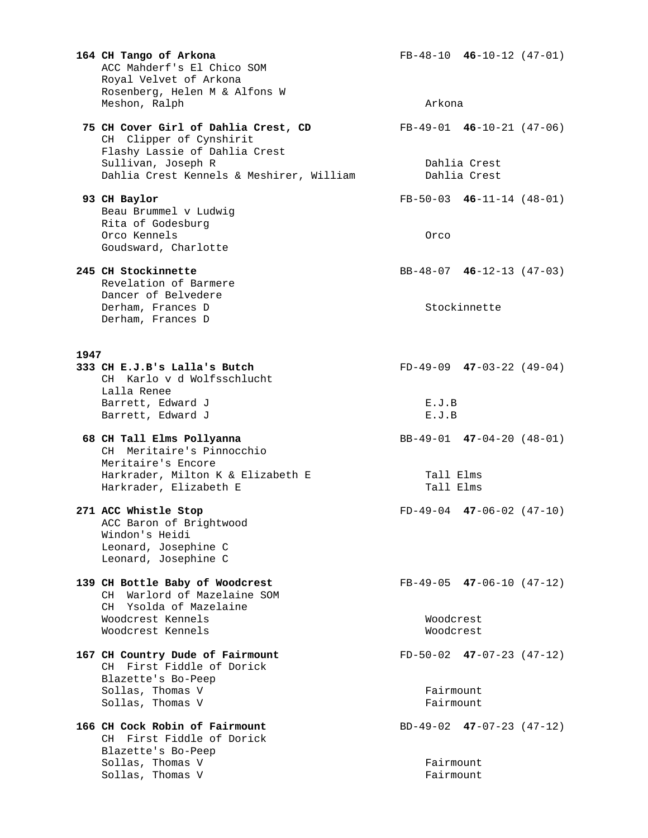**164 CH Tango of Arkona** FB-48-10 **46**-10-12 (47-01) ACC Mahderf's El Chico SOM Royal Velvet of Arkona Rosenberg, Helen M & Alfons W Meshon, Ralph **Arkona 75 CH Cover Girl of Dahlia Crest, CD** FB-49-01 **46**-10-21 (47-06) CH Clipper of Cynshirit Flashy Lassie of Dahlia Crest Sullivan, Joseph R Dahlia Crest Dahlia Crest Kennels & Meshirer, William Bahlia Crest  **93 CH Baylor** FB-50-03 **46**-11-14 (48-01) Beau Brummel v Ludwig Rita of Godesburg Orco Kennels Orco Goudsward, Charlotte **245 CH Stockinnette** BB-48-07 **46**-12-13 (47-03) Revelation of Barmere Dancer of Belvedere Derham, Frances D Stockinnette Derham, Frances D 1947<br>333 CH E.J.B's Lalla's Butch **333 CH E.J.B's Lalla's Butch** FD-49-09 **47**-03-22 (49-04) CH Karlo v d Wolfsschlucht Lalla Renee Barrett, Edward J E.J.B Barrett, Edward J E.J.B  **68 CH Tall Elms Pollyanna** BB-49-01 **47**-04-20 (48-01) CH Meritaire's Pinnocchio Meritaire's Encore Harkrader, Milton K & Elizabeth E Tall Elms Harkrader, Elizabeth E Tall Elms **271 ACC Whistle Stop** FD-49-04 **47**-06-02 (47-10) ACC Baron of Brightwood Windon's Heidi Leonard, Josephine C Leonard, Josephine C **139 CH Bottle Baby of Woodcrest** FB-49-05 **47**-06-10 (47-12) CH Warlord of Mazelaine SOM CH Ysolda of Mazelaine Woodcrest Kennels Woodcrest Woodcrest Kennels Woodcrest **167 CH Country Dude of Fairmount** FD-50-02 **47**-07-23 (47-12) CH First Fiddle of Dorick Blazette's Bo-Peep Sollas, Thomas V Fairmount Sollas, Thomas V Fairmount **166 CH Cock Robin of Fairmount** BD-49-02 **47**-07-23 (47-12) CH First Fiddle of Dorick Blazette's Bo-Peep Sollas, Thomas V Fairmount Sollas, Thomas V Fairmount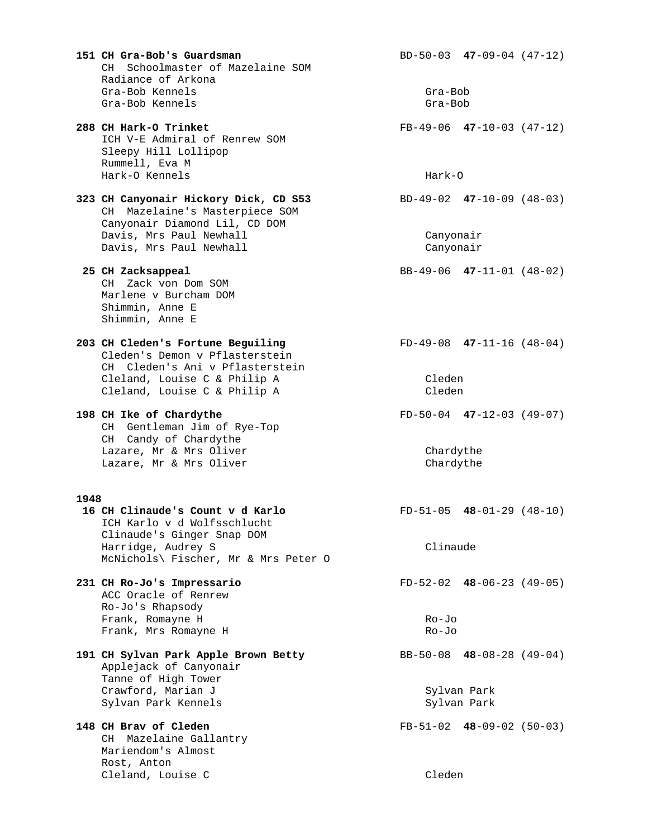|      | 151 CH Gra-Bob's Guardsman<br>CH Schoolmaster of Mazelaine SOM<br>Radiance of Arkona                                                   |                               | $BD-50-03$ 47-09-04 (47-12) |  |
|------|----------------------------------------------------------------------------------------------------------------------------------------|-------------------------------|-----------------------------|--|
|      | Gra-Bob Kennels<br>Gra-Bob Kennels                                                                                                     | Gra-Bob<br>Gra-Bob            |                             |  |
|      | 288 CH Hark-O Trinket<br>ICH V-E Admiral of Renrew SOM<br>Sleepy Hill Lollipop<br>Rummell, Eva M                                       |                               | $FB-49-06$ 47-10-03 (47-12) |  |
|      | Hark-O Kennels                                                                                                                         |                               | $Hark-0$                    |  |
|      | 323 CH Canyonair Hickory Dick, CD S53<br>Mazelaine's Masterpiece SOM<br>CH<br>Canyonair Diamond Lil, CD DOM<br>Davis, Mrs Paul Newhall | $BD-49-02$ $47-10-09$ (48-03) |                             |  |
|      | Davis, Mrs Paul Newhall                                                                                                                | Canyonair<br>Canyonair        |                             |  |
|      | 25 CH Zacksappeal<br>CH Zack von Dom SOM<br>Marlene v Burcham DOM<br>Shimmin, Anne E<br>Shimmin, Anne E                                |                               | BB-49-06 $47-11-01$ (48-02) |  |
|      | 203 CH Cleden's Fortune Beguiling<br>Cleden's Demon v Pflasterstein<br>CH Cleden's Ani v Pflasterstein                                 | $FD-49-08$ 47-11-16 (48-04)   |                             |  |
|      | Cleland, Louise C & Philip A<br>Cleland, Louise C & Philip A                                                                           | Cleden<br>Cleden              |                             |  |
|      | 198 CH Ike of Chardythe<br>CH Gentleman Jim of Rye-Top<br>CH Candy of Chardythe                                                        |                               | $FD-50-04$ 47-12-03 (49-07) |  |
|      | Lazare, Mr & Mrs Oliver<br>Lazare, Mr & Mrs Oliver                                                                                     |                               | Chardythe<br>Chardythe      |  |
| 1948 |                                                                                                                                        |                               |                             |  |
|      | 16 CH Clinaude's Count v d Karlo<br>ICH Karlo v d Wolfsschlucht<br>Clinaude's Ginger Snap DOM                                          |                               | $FD-51-05$ 48-01-29 (48-10) |  |
|      | Harridge, Audrey S<br>McNichols\ Fischer, Mr & Mrs Peter O                                                                             |                               | Clinaude                    |  |
|      | 231 CH Ro-Jo's Impressario<br>ACC Oracle of Renrew<br>Ro-Jo's Rhapsody                                                                 |                               | $FD-52-02$ 48-06-23 (49-05) |  |
|      | Frank, Romayne H<br>Frank, Mrs Romayne H                                                                                               |                               | $Ro-Jo$<br>Ro-Jo            |  |
|      | 191 CH Sylvan Park Apple Brown Betty<br>Applejack of Canyonair<br>Tanne of High Tower                                                  | BB-50-08 $48-08-28$ (49-04)   |                             |  |
|      | Crawford, Marian J<br>Sylvan Park Kennels                                                                                              | Sylvan Park<br>Sylvan Park    |                             |  |
|      | 148 CH Brav of Cleden<br>CH Mazelaine Gallantry<br>Mariendom's Almost<br>Rost, Anton                                                   |                               | $FB-51-02$ 48-09-02 (50-03) |  |
|      | Cleland, Louise C                                                                                                                      | Cleden                        |                             |  |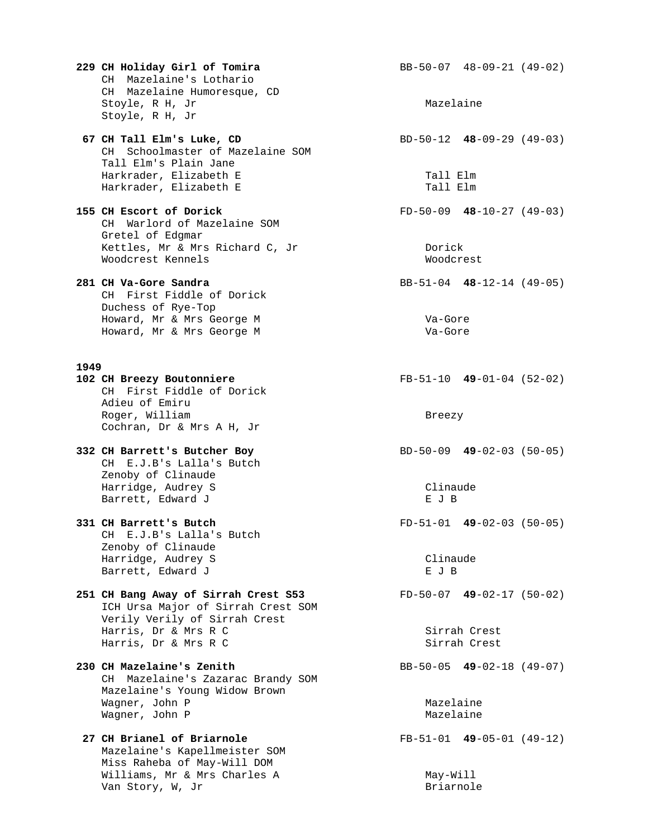**229 CH Holiday Girl of Tomira** BB-50-07 48-09-21 (49-02) CH Mazelaine's Lothario CH Mazelaine Humoresque, CD Stoyle, R H, Jr Mazelaine Stoyle, R H, Jr

**67 CH Tall Elm's Luke, CD** BD-50-12 **48**-09-29 (49-03) CH Schoolmaster of Mazelaine SOM Tall Elm's Plain Jane Harkrader, Elizabeth E Tall Elm Harkrader, Elizabeth E Tall Elm

**155 CH Escort of Dorick** FD-50-09 **48**-10-27 (49-03) CH Warlord of Mazelaine SOM Gretel of Edgmar Kettles, Mr & Mrs Richard C, Jr Dorick Woodcrest Kennels Woodcrest

**281 CH Va-Gore Sandra** BB-51-04 **48**-12-14 (49-05) CH First Fiddle of Dorick Duchess of Rye-Top Howard, Mr & Mrs George M va-Gore Howard, Mr & Mrs George M Va-Gore

# **1949**

 CH First Fiddle of Dorick Adieu of Emiru Roger, William Breezy Cochran, Dr & Mrs A H, Jr

**332 CH Barrett's Butcher Boy** BD-50-09 **49**-02-03 (50-05) CH E.J.B's Lalla's Butch Zenoby of Clinaude Harridge, Audrey S Clinaude Barrett, Edward J E J B

 CH E.J.B's Lalla's Butch Zenoby of Clinaude Harridge, Audrey S Clinaude Barrett, Edward J

**251 CH Bang Away of Sirrah Crest S53** FD-50-07 **49**-02-17 (50-02) ICH Ursa Major of Sirrah Crest SOM Verily Verily of Sirrah Crest Harris, Dr & Mrs R C Sirrah Crest Harris, Dr & Mrs R C Sirrah Crest

**230 CH Mazelaine's Zenith** BB-50-05 **49**-02-18 (49-07) CH Mazelaine's Zazarac Brandy SOM Mazelaine's Young Widow Brown Wagner, John P Mazelaine Wagner, John P Mazelaine

 **27 CH Brianel of Briarnole** FB-51-01 **49**-05-01 (49-12) Mazelaine's Kapellmeister SOM Miss Raheba of May-Will DOM Williams, Mr & Mrs Charles A May-Will Van Story, W, Jr Briarnole

**102 CH Breezy Boutonniere** FB-51-10 **49**-01-04 (52-02)

**331 CH Barrett's Butch** FD-51-01 **49**-02-03 (50-05)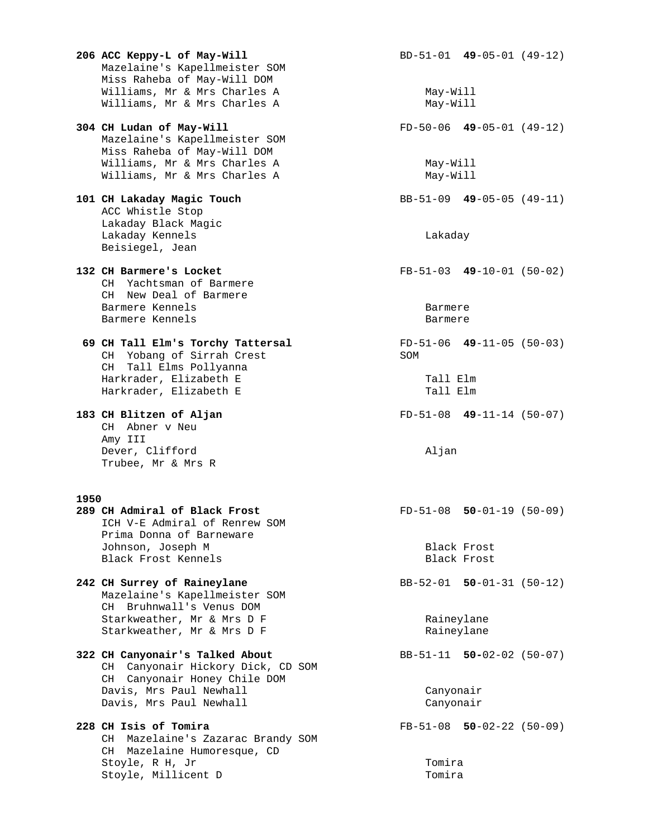**206 ACC Keppy-L of May-Will** BD-51-01 **49**-05-01 (49-12) Mazelaine's Kapellmeister SOM Miss Raheba of May-Will DOM Williams, Mr & Mrs Charles A May-Will Williams, Mr & Mrs Charles A **304 CH Ludan of May-Will** FD-50-06 **49**-05-01 (49-12) Mazelaine's Kapellmeister SOM Miss Raheba of May-Will DOM Williams, Mr & Mrs Charles A May-Will Williams, Mr & Mrs Charles A May-Will **101 CH Lakaday Magic Touch** BB-51-09 **49**-05-05 (49-11) ACC Whistle Stop Lakaday Black Magic Lakaday Kennels Lakaday Beisiegel, Jean **132 CH Barmere's Locket** FB-51-03 **49**-10-01 (50-02) CH Yachtsman of Barmere CH New Deal of Barmere Barmere Kennels<br>Barmere Kennels Barmere Barmere Barmere Kennels  **69 CH Tall Elm's Torchy Tattersal** FD-51-06 **49**-11-05 (50-03) CH Yobang of Sirrah Crest SOM CH Tall Elms Pollyanna Harkrader, Elizabeth E (Tall Elm)<br>Harkrader, Elizabeth E (Tall Elm) Harkrader, Elizabeth E **183 CH Blitzen of Aljan** FD-51-08 **49**-11-14 (50-07) CH Abner v Neu Amy III Dever, Clifford Aljan Trubee, Mr & Mrs R **1950 289 CH Admiral of Black Frost** FD-51-08 **50**-01-19 (50-09) ICH V-E Admiral of Renrew SOM Prima Donna of Barneware Johnson, Joseph M Black Frost Black Frost Kennels Black Frost **242 CH Surrey of Raineylane** BB-52-01 **50**-01-31 (50-12) Mazelaine's Kapellmeister SOM CH Bruhnwall's Venus DOM Starkweather, Mr & Mrs D F Raineylane Starkweather, Mr & Mrs D F Raineylane **322 CH Canyonair's Talked About** BB-51-11 **50-**02-02 (50-07) CH Canyonair Hickory Dick, CD SOM CH Canyonair Honey Chile DOM Davis, Mrs Paul Newhall Canyonair Davis, Mrs Paul Newhall Canyonair **228 CH Isis of Tomira** FB-51-08 **50**-02-22 (50-09) CH Mazelaine's Zazarac Brandy SOM CH Mazelaine Humoresque, CD Stoyle, R H, Jr<br>Stoyle, Millicent D (Stoyle, Millicent D) Stoyle, Millicent D